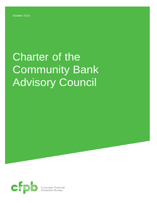# Charter of the Community Bank Advisory Council

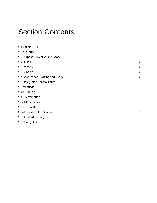## **Section Contents**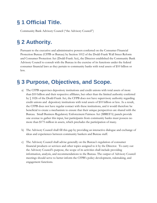## <span id="page-2-0"></span>**§ 1 Official Title.**

<span id="page-2-1"></span>Community Bank Advisory Council ("the Advisory Council")

## **§ 2 Authority.**

Pursuant to the executive and administrative powers conferred on the Consumer Financial Protection Bureau (CFPB or Bureau) by Section 1012 of the Dodd-Frank Wall Street Reform and Consumer Protection Act (Dodd-Frank Act), the Director established the Community Bank Advisory Council to consult with the Bureau in the exercise of its functions under the federal consumer financial laws as they pertain to community banks with total assets of \$10 billion or less.

## <span id="page-2-2"></span>**§ 3 Purpose, Objectives, and Scope.**

- a) The CFPB supervises depository institutions and credit unions with total assets of more than \$10 billion and their respective affiliates, but other than the limited authority conferred by § 1026 of the Dodd-Frank Act, the CFPB does not have supervisory authority regarding credit unions and depository institutions with total assets of \$10 billion or less. As a result, the CFPB does not have regular contact with these institutions, and it would therefore be beneficial to create a mechanism to ensure that their unique perspectives are shared with the Bureau. Small Business Regulatory Enforcement Fairness Act (SBREFA) panels provide one avenue to gather this input, but participants from community banks must possess no more than \$175 million in assets, which precludes the participation of many.
- b) The Advisory Council shall fill this gap by providing an interactive dialogue and exchange of ideas and experiences between community bankers and Bureau staff.
- c) The Advisory Council shall advise generally on the Bureau's regulation of consumer financial products or services and other topics assigned to it by the Director. To carry out the Advisory Council's purpose, the scope of its activities shall include providing information, analysis, and recommendations to the Bureau. The output of Advisory Council meetings should serve to better inform the CFPB's policy development, rulemaking, and engagement functions.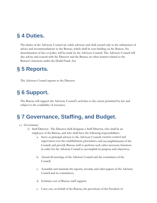### <span id="page-3-0"></span>**§ 4 Duties.**

The duties of the Advisory Council are solely advisory and shall extend only to the submission of advice and recommendations to the Bureau, which shall be non-binding on the Bureau. No determination of fact or policy will be made by the Advisory Council. The Advisory Council will also advise and consult with the Director and the Bureau on other matters related to the Bureau's functions under the Dodd-Frank Act.

#### <span id="page-3-1"></span>**§ 5 Reports.**

The Advisory Council reports to the Director.

## <span id="page-3-2"></span>**§ 6 Support.**

The Bureau will support the Advisory Council's activities to the extent permitted by law and subject to the availability of resources.

#### <span id="page-3-3"></span>**§ 7 Governance, Staffing, and Budget.**

#### a ) Governance

- 1) Staff Director. The Director shall designate a Staff Director, who shall be an employee of the Bureau, and who shall have the following responsibilities:
	- a. Serve as principal advisor to the Advisory Council; exercise control and supervision over the establishment, procedures, and accomplishments of the Council; and provide Bureau staff to perform such other necessary functions in order for the Advisory Council to accomplish its purpose and objectives;
	- b. Attend all meetings of the Advisory Council and the committees of the Council;
	- c. Assemble and maintain the reports, records, and other papers of the Advisory Council and its committees;
	- d. Estimate cost of Bureau staff support;
	- e. Carry out, on behalf of the Bureau, the provisions of the Freedom of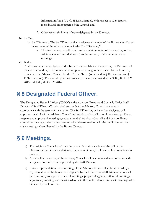Information Act, 5 U.S.C. 552, as amended, with respect to such reports, records, and other papers of the Council; and

- f. Other responsibilities as further delegated by the Director.
- b) Staffing
	- 1) Staff Secretary. The Staff Director shall designate a member of the Bureau's staff to act as secretary of the Advisory Council (the "Staff Secretary").
		- a. The Staff Secretary shall record and maintain minutes of the meetings of the Advisory Council and shall certify to the accuracy of the minutes of the meetings.

c) Budget

To the extent permitted by law and subject to the availability of resources, the Bureau shall provide the funding and administrative support necessary, as determined by the Director, to operate the Advisory Council for the Charter Term (as defined in § 10 Duration and § 11 Termination). The annual operating costs are presently estimated to be \$300,000 for FY 2015 and \$300,000 for FY 2016.

#### <span id="page-4-0"></span>**§ 8 Designated Federal Officer.**

The Designated Federal Officer ("DFO") is the Advisory Boards and Councils Office Staff Director ("Staff Director"), who shall ensure that the Advisory Council operates in accordance with the terms of the charter. The Staff Director, or his or her designee, will approve or call all of the Advisory Council and Advisory Council committee meetings, if any, prepare and approve all meeting agendas, attend all Advisory Council and Advisory Board committee meetings, adjourn any meeting when determined to be in the public interest, and chair meetings when directed by the Bureau Director.

#### <span id="page-4-1"></span>**§ 9 Meetings.**

- a) The Advisory Council shall meet in person from time to time at the call of the Director or the Director's designee, but at a minimum, shall meet at least two times in each year.
- b) Agenda. Each meeting of the Advisory Council shall be conducted in accordance with an agenda formulated or approved by the Staff Director.
- c) Bureau representation. Each meeting of the Advisory Council shall be attended by a representative of the Bureau as designated by the Director or Staff Director who shall have authority to approve or call all meetings, prepare all agendas, attend all meetings, adjourn any meeting when determined to be in the public interest, and chair meetings when directed by the Director.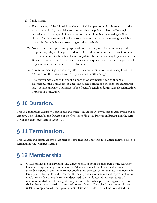- d) Public nature.
	- 1) Each meeting of the full Advisory Council shall be open to public observation, to the extent that a facility is available to accommodate the public, unless the Bureau, in accordance with paragraph 4 of this section, determines that the meeting shall be closed. The Bureau also will make reasonable efforts to make the meetings available to the public through live web streaming or other methods.
	- 2) Notice of the time, place and purpose of each meeting, as well as a summary of the proposed agenda, shall be published in the Federal Register not more than 45 or less than 15 days prior to the scheduled meeting date. Shorter notice may be given when the Bureau determines that the Council's business so requires; in such event, the public will be given notice at the earliest practicable time.
	- 3) Minutes of meetings, records, reports, studies, and agendas of the Advisory Council shall be posted on the Bureau's Web site (www.consumerfinance.gov).
	- 4) The Bureau may close to the public a portion of any meeting, for confidential discussion. If the Bureau closes a meeting or any portion of a meeting, the Bureau will issue, at least annually, a summary of the Council's activities during such closed meetings or portions of meetings.

## <span id="page-5-0"></span>**§ 10 Duration.**

This is a continuing Advisory Council and will operate in accordance with this charter which will be effective when signed by the Director of the Consumer Financial Protection Bureau, and the term of which expires pursuant to section 11.

## <span id="page-5-1"></span>**§ 11 Termination.**

This Charter will terminate two years after the date that this Charter is filed unless renewed prior to termination (the "Charter Term").

## <span id="page-5-2"></span>**§ 12 Membership.**

a) Qualifications and background. The Director shall appoint the members of the Advisory Council. In appointing members to the Advisory Council, the Director shall seek to assemble experts in consumer protection, financial services, community development, fair lending and civil rights, and consumer financial products or services and representatives of credit unions that primarily serve underserved communities, and representatives of communities that have been significantly impacted by higher-priced mortgage loans, and shall strive to have diversity in terms of points of view. Only gbank or thrift employees (CEOs, compliance officers, government relations officials, etc.) will be considered for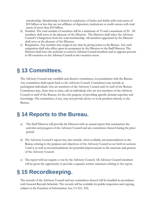membership. Membership is limited to employees of banks and thrifts with total assets of \$10 billion or less that are not affiliates of depository institutions or credit unions with total assets of more than \$10 billion.

- b) Number. The total number of members will be a minimum of 15 and a maximum of 20. All members shall serve at the pleasure of the Director. The Director shall select the Advisory Council's Chairperson from the total membership. All members appointed by the Director shall serve at the pleasure of the Director.
- c) Resignation. Any member may resign at any time by giving notice to the Bureau. Any such resignation shall take effect upon its acceptance by the Director or the Staff Director. The Director shall have the authority to remove Advisory Council members and to appoint persons to fill vacancies on the Advisory Council as the vacancies occur.

#### <span id="page-6-0"></span>**§ 13 Committees.**

The Advisory Council may establish and dissolve committees, in consultation with the Bureau. Any committees shall report back to the Advisory Council. Committees may include as participants individuals who are members of the Advisory Council and/or staff of the Bureau. Committees may, from time to time, call on individuals who are not members of the Advisory Council or staff of the Bureau, for the sole purpose of providing specific domain expertise and knowledge. The committees, if any, may not provide advice or work products directly to the Bureau.

#### <span id="page-6-1"></span>**§ 14 Reports to the Bureau.**

- a) The Staff Director will provide the Director with an annual report that summarizes the activities and progress of the Advisory Council and any committees thereof during the prior period.
- b) The Advisory Council's report may also include, when available, recommendations to the Bureau relating to the purpose and objectives of the Advisory Council as set forth in sections 3 and 4, as well as recommendations for potential improvements in the structure and process of the Advisory Council.
- c) The report will not require a vote by the Advisory Council. All Advisory Council members will be given the opportunity to provide a separate written statement relating to the report.

#### <span id="page-6-2"></span>**§ 15 Recordkeeping.**

The records of the Advisory Council and any committees thereof will be handled in accordance with General Records Schedule. The records will be available for public inspection and copying, subject to the Freedom of Information Act, 5 U.S.C. 552.